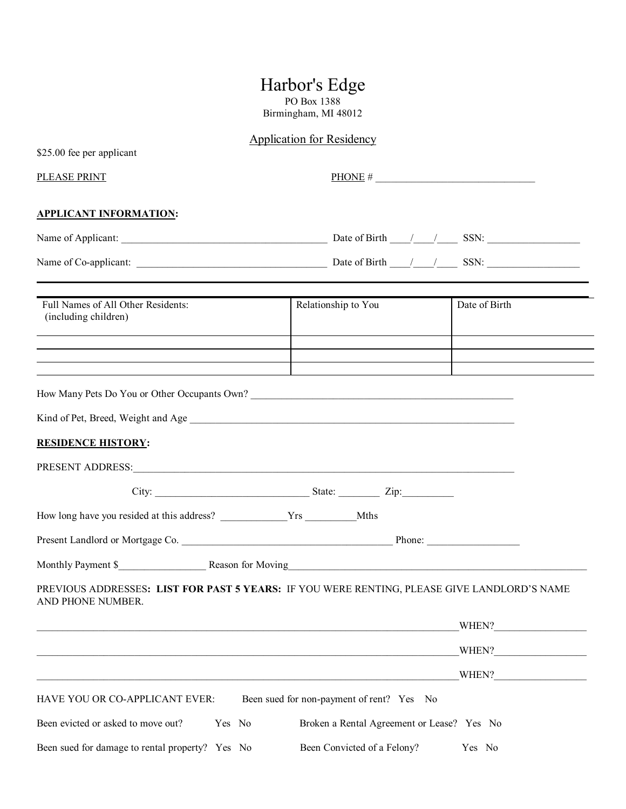# Harbor's Edge

PO Box 1388 Birmingham, MI 48012

# Application for Residency

| \$25.00 fee per applicant                                                                                                                                                                                                       |                                            |               |  |
|---------------------------------------------------------------------------------------------------------------------------------------------------------------------------------------------------------------------------------|--------------------------------------------|---------------|--|
| PLEASE PRINT                                                                                                                                                                                                                    | PHONE #                                    |               |  |
| <b>APPLICANT INFORMATION:</b>                                                                                                                                                                                                   |                                            |               |  |
|                                                                                                                                                                                                                                 |                                            |               |  |
|                                                                                                                                                                                                                                 |                                            |               |  |
| Full Names of All Other Residents:<br>(including children)                                                                                                                                                                      | Relationship to You                        | Date of Birth |  |
|                                                                                                                                                                                                                                 |                                            |               |  |
| How Many Pets Do You or Other Occupants Own?                                                                                                                                                                                    |                                            |               |  |
|                                                                                                                                                                                                                                 |                                            |               |  |
| <b>RESIDENCE HISTORY:</b>                                                                                                                                                                                                       |                                            |               |  |
|                                                                                                                                                                                                                                 |                                            |               |  |
|                                                                                                                                                                                                                                 |                                            |               |  |
|                                                                                                                                                                                                                                 |                                            |               |  |
|                                                                                                                                                                                                                                 |                                            |               |  |
| Monthly Payment \$ Reason for Moving Reason for Moving Reason for Moving Reason for Moving Reason for Moving Reason for Moving Reason for Moving Reason for Moving Reason for Moving Reason for Moving Reason for Moving Reason |                                            |               |  |
| PREVIOUS ADDRESSES: LIST FOR PAST 5 YEARS: IF YOU WERE RENTING, PLEASE GIVE LANDLORD'S NAME<br>AND PHONE NUMBER.                                                                                                                |                                            |               |  |
|                                                                                                                                                                                                                                 |                                            | WHEN?         |  |
|                                                                                                                                                                                                                                 |                                            | WHEN?         |  |
|                                                                                                                                                                                                                                 |                                            | WHEN?         |  |
| HAVE YOU OR CO-APPLICANT EVER:                                                                                                                                                                                                  | Been sued for non-payment of rent? Yes No  |               |  |
| Been evicted or asked to move out?<br>Yes No                                                                                                                                                                                    | Broken a Rental Agreement or Lease? Yes No |               |  |
| Been sued for damage to rental property? Yes No                                                                                                                                                                                 | Been Convicted of a Felony?                | Yes No        |  |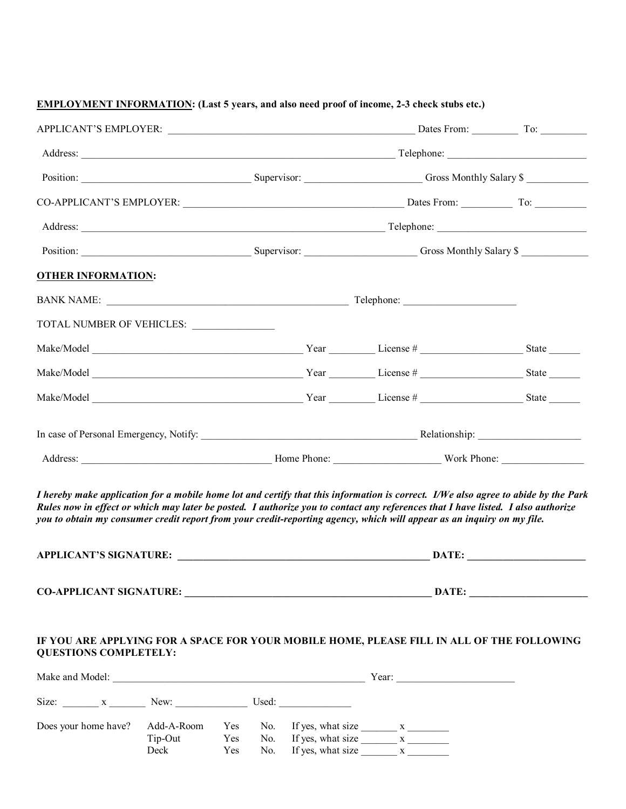### **EMPLOYMENT INFORMATION: (Last 5 years, and also need proof of income, 2-3 check stubs etc.)**

|                                                                                                                                                                                                                                                                                                                                                                                                  |                       |            | Position: Supervisor: Supervisor: Gross Monthly Salary \$ |                       |                                                                       |  |       |
|--------------------------------------------------------------------------------------------------------------------------------------------------------------------------------------------------------------------------------------------------------------------------------------------------------------------------------------------------------------------------------------------------|-----------------------|------------|-----------------------------------------------------------|-----------------------|-----------------------------------------------------------------------|--|-------|
| <b>OTHER INFORMATION:</b>                                                                                                                                                                                                                                                                                                                                                                        |                       |            |                                                           |                       |                                                                       |  |       |
|                                                                                                                                                                                                                                                                                                                                                                                                  |                       |            |                                                           |                       |                                                                       |  |       |
| TOTAL NUMBER OF VEHICLES:                                                                                                                                                                                                                                                                                                                                                                        |                       |            |                                                           |                       |                                                                       |  |       |
|                                                                                                                                                                                                                                                                                                                                                                                                  |                       |            |                                                           |                       |                                                                       |  |       |
|                                                                                                                                                                                                                                                                                                                                                                                                  |                       |            |                                                           |                       |                                                                       |  |       |
|                                                                                                                                                                                                                                                                                                                                                                                                  |                       |            |                                                           |                       |                                                                       |  |       |
|                                                                                                                                                                                                                                                                                                                                                                                                  |                       |            |                                                           |                       |                                                                       |  |       |
|                                                                                                                                                                                                                                                                                                                                                                                                  |                       |            |                                                           |                       |                                                                       |  |       |
| Address: North Phone: North Phone: North Phone: North Phone: North Phone: North Phone: North Phone: North Phone: North Phone: North Phone: North Phone: North Phone: North Phone: North Phone: North Phone: North Phone: North                                                                                                                                                                   |                       |            |                                                           |                       |                                                                       |  |       |
| I hereby make application for a mobile home lot and certify that this information is correct. I/We also agree to abide by the Park<br>Rules now in effect or which may later be posted. I authorize you to contact any references that I have listed. I also authorize<br>you to obtain my consumer credit report from your credit-reporting agency, which will appear as an inquiry on my file. |                       |            |                                                           |                       |                                                                       |  |       |
|                                                                                                                                                                                                                                                                                                                                                                                                  |                       |            |                                                           |                       |                                                                       |  |       |
|                                                                                                                                                                                                                                                                                                                                                                                                  |                       |            |                                                           |                       |                                                                       |  | DATE: |
| IF YOU ARE APPLYING FOR A SPACE FOR YOUR MOBILE HOME, PLEASE FILL IN ALL OF THE FOLLOWING<br><b>QUESTIONS COMPLETELY:</b>                                                                                                                                                                                                                                                                        |                       |            |                                                           |                       |                                                                       |  |       |
| Size: $x$ New: Used:                                                                                                                                                                                                                                                                                                                                                                             |                       |            |                                                           |                       |                                                                       |  |       |
| Does your home have?                                                                                                                                                                                                                                                                                                                                                                             | Add-A-Room<br>Tip-Out | Yes<br>Yes | No.                                                       | No. If yes, what size | If yes, what size $\frac{\ }{ \ }$ x $\frac{\ }{ \ }$<br>$\mathbf{x}$ |  |       |

Deck Yes No. If yes, what size x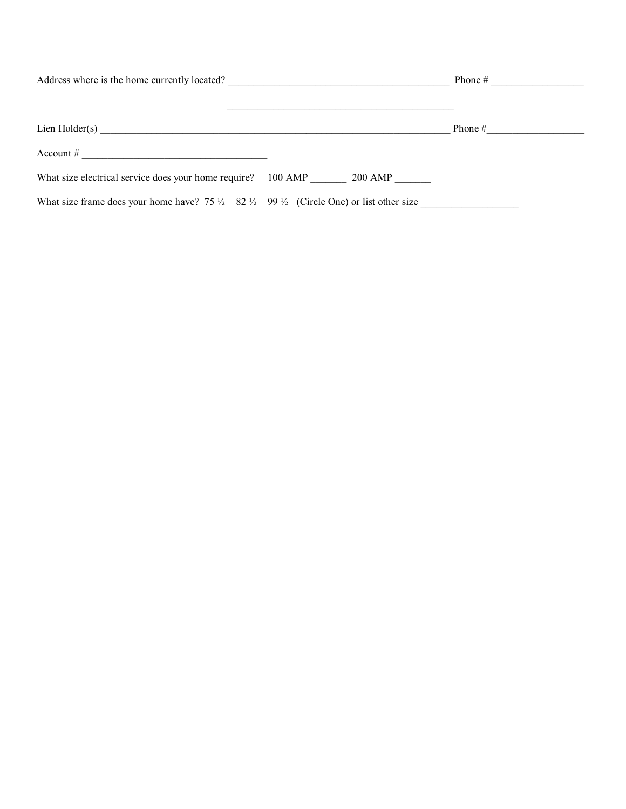| Address where is the home currently located?                                                                            | Phone $#$          |           |
|-------------------------------------------------------------------------------------------------------------------------|--------------------|-----------|
| Lien Holder(s)                                                                                                          |                    | Phone $#$ |
| Account #<br><u> 1980 - John Stein, Amerikaansk politiker (</u>                                                         |                    |           |
| What size electrical service does your home require?                                                                    | 100 AMP<br>200 AMP |           |
| What size frame does your home have? 75 $\frac{1}{2}$ 82 $\frac{1}{2}$ 99 $\frac{1}{2}$ (Circle One) or list other size |                    |           |